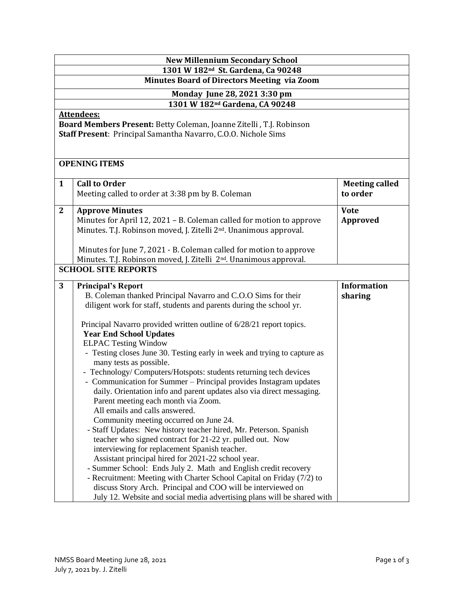| <b>New Millennium Secondary School</b>                                                                                                              |                                                                                                                                                                                                                                                                                                                                                                                                                                                                                                                                                                                                                                                                                                                                                                                                                                                                                                                                                                                                                                                                                                                   |                                   |  |  |
|-----------------------------------------------------------------------------------------------------------------------------------------------------|-------------------------------------------------------------------------------------------------------------------------------------------------------------------------------------------------------------------------------------------------------------------------------------------------------------------------------------------------------------------------------------------------------------------------------------------------------------------------------------------------------------------------------------------------------------------------------------------------------------------------------------------------------------------------------------------------------------------------------------------------------------------------------------------------------------------------------------------------------------------------------------------------------------------------------------------------------------------------------------------------------------------------------------------------------------------------------------------------------------------|-----------------------------------|--|--|
| 1301 W 182 <sup>nd</sup> St. Gardena, Ca 90248<br><b>Minutes Board of Directors Meeting via Zoom</b>                                                |                                                                                                                                                                                                                                                                                                                                                                                                                                                                                                                                                                                                                                                                                                                                                                                                                                                                                                                                                                                                                                                                                                                   |                                   |  |  |
|                                                                                                                                                     |                                                                                                                                                                                                                                                                                                                                                                                                                                                                                                                                                                                                                                                                                                                                                                                                                                                                                                                                                                                                                                                                                                                   |                                   |  |  |
| Monday June 28, 2021 3:30 pm<br>1301 W 182 <sup>nd</sup> Gardena, CA 90248                                                                          |                                                                                                                                                                                                                                                                                                                                                                                                                                                                                                                                                                                                                                                                                                                                                                                                                                                                                                                                                                                                                                                                                                                   |                                   |  |  |
| Attendees:<br>Board Members Present: Betty Coleman, Joanne Zitelli, T.J. Robinson<br>Staff Present: Principal Samantha Navarro, C.O.O. Nichole Sims |                                                                                                                                                                                                                                                                                                                                                                                                                                                                                                                                                                                                                                                                                                                                                                                                                                                                                                                                                                                                                                                                                                                   |                                   |  |  |
| <b>OPENING ITEMS</b>                                                                                                                                |                                                                                                                                                                                                                                                                                                                                                                                                                                                                                                                                                                                                                                                                                                                                                                                                                                                                                                                                                                                                                                                                                                                   |                                   |  |  |
| $\mathbf{1}$                                                                                                                                        | <b>Call to Order</b><br>Meeting called to order at 3:38 pm by B. Coleman                                                                                                                                                                                                                                                                                                                                                                                                                                                                                                                                                                                                                                                                                                                                                                                                                                                                                                                                                                                                                                          | <b>Meeting called</b><br>to order |  |  |
| $\overline{2}$                                                                                                                                      | <b>Approve Minutes</b><br>Minutes for April 12, 2021 - B. Coleman called for motion to approve<br>Minutes. T.J. Robinson moved, J. Zitelli 2 <sup>nd</sup> . Unanimous approval.<br>Minutes for June 7, 2021 - B. Coleman called for motion to approve<br>Minutes. T.J. Robinson moved, J. Zitelli 2 <sup>nd</sup> . Unanimous approval.                                                                                                                                                                                                                                                                                                                                                                                                                                                                                                                                                                                                                                                                                                                                                                          | <b>Vote</b><br>Approved           |  |  |
|                                                                                                                                                     | <b>SCHOOL SITE REPORTS</b>                                                                                                                                                                                                                                                                                                                                                                                                                                                                                                                                                                                                                                                                                                                                                                                                                                                                                                                                                                                                                                                                                        |                                   |  |  |
| 3                                                                                                                                                   | <b>Principal's Report</b><br>B. Coleman thanked Principal Navarro and C.O.O Sims for their<br>diligent work for staff, students and parents during the school yr.                                                                                                                                                                                                                                                                                                                                                                                                                                                                                                                                                                                                                                                                                                                                                                                                                                                                                                                                                 | <b>Information</b><br>sharing     |  |  |
|                                                                                                                                                     | Principal Navarro provided written outline of 6/28/21 report topics.<br><b>Year End School Updates</b><br><b>ELPAC Testing Window</b><br>- Testing closes June 30. Testing early in week and trying to capture as<br>many tests as possible.<br>- Technology/ Computers/Hotspots: students returning tech devices<br>- Communication for Summer – Principal provides Instagram updates<br>daily. Orientation info and parent updates also via direct messaging.<br>Parent meeting each month via Zoom.<br>All emails and calls answered.<br>Community meeting occurred on June 24.<br>- Staff Updates: New history teacher hired, Mr. Peterson. Spanish<br>teacher who signed contract for 21-22 yr. pulled out. Now<br>interviewing for replacement Spanish teacher.<br>Assistant principal hired for 2021-22 school year.<br>- Summer School: Ends July 2. Math and English credit recovery<br>- Recruitment: Meeting with Charter School Capital on Friday (7/2) to<br>discuss Story Arch. Principal and COO will be interviewed on<br>July 12. Website and social media advertising plans will be shared with |                                   |  |  |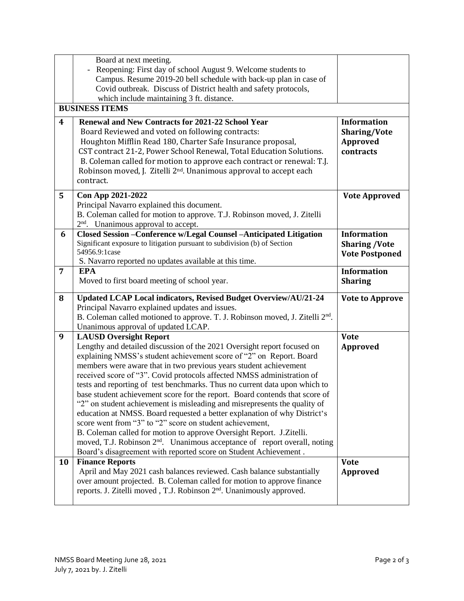|                | Board at next meeting.                                                                                                                               |                        |  |  |  |
|----------------|------------------------------------------------------------------------------------------------------------------------------------------------------|------------------------|--|--|--|
|                | Reopening: First day of school August 9. Welcome students to                                                                                         |                        |  |  |  |
|                | Campus. Resume 2019-20 bell schedule with back-up plan in case of                                                                                    |                        |  |  |  |
|                | Covid outbreak. Discuss of District health and safety protocols,                                                                                     |                        |  |  |  |
|                | which include maintaining 3 ft. distance.                                                                                                            |                        |  |  |  |
|                | <b>BUSINESS ITEMS</b>                                                                                                                                |                        |  |  |  |
| 4              | Renewal and New Contracts for 2021-22 School Year                                                                                                    | <b>Information</b>     |  |  |  |
|                | Board Reviewed and voted on following contracts:                                                                                                     | Sharing/Vote           |  |  |  |
|                | Houghton Mifflin Read 180, Charter Safe Insurance proposal,                                                                                          | Approved               |  |  |  |
|                | CST contract 21-2, Power School Renewal, Total Education Solutions.                                                                                  | contracts              |  |  |  |
|                | B. Coleman called for motion to approve each contract or renewal: T.J.                                                                               |                        |  |  |  |
|                | Robinson moved, J. Zitelli 2 <sup>nd</sup> . Unanimous approval to accept each                                                                       |                        |  |  |  |
|                | contract.                                                                                                                                            |                        |  |  |  |
| 5              | Con App 2021-2022                                                                                                                                    | <b>Vote Approved</b>   |  |  |  |
|                | Principal Navarro explained this document.                                                                                                           |                        |  |  |  |
|                | B. Coleman called for motion to approve. T.J. Robinson moved, J. Zitelli                                                                             |                        |  |  |  |
|                | 2 <sup>nd</sup> . Unanimous approval to accept.                                                                                                      |                        |  |  |  |
| 6              | Closed Session - Conference w/Legal Counsel - Anticipated Litigation                                                                                 | <b>Information</b>     |  |  |  |
|                | Significant exposure to litigation pursuant to subdivision (b) of Section                                                                            | <b>Sharing /Vote</b>   |  |  |  |
|                | 54956.9:1case<br>S. Navarro reported no updates available at this time.                                                                              | <b>Vote Postponed</b>  |  |  |  |
| $\overline{7}$ | <b>EPA</b>                                                                                                                                           | <b>Information</b>     |  |  |  |
|                | Moved to first board meeting of school year.                                                                                                         | <b>Sharing</b>         |  |  |  |
|                |                                                                                                                                                      |                        |  |  |  |
| 8              | Updated LCAP Local indicators, Revised Budget Overview/AU/21-24                                                                                      | <b>Vote to Approve</b> |  |  |  |
|                | Principal Navarro explained updates and issues.                                                                                                      |                        |  |  |  |
|                | B. Coleman called motioned to approve. T. J. Robinson moved, J. Zitelli 2 <sup>nd</sup> .                                                            |                        |  |  |  |
|                | Unanimous approval of updated LCAP.                                                                                                                  |                        |  |  |  |
| 9              | <b>LAUSD Oversight Report</b>                                                                                                                        | <b>Vote</b>            |  |  |  |
|                | Lengthy and detailed discussion of the 2021 Oversight report focused on                                                                              | Approved               |  |  |  |
|                | explaining NMSS's student achievement score of "2" on Report. Board                                                                                  |                        |  |  |  |
|                | members were aware that in two previous years student achievement                                                                                    |                        |  |  |  |
|                | received score of "3". Covid protocols affected NMSS administration of<br>tests and reporting of test benchmarks. Thus no current data upon which to |                        |  |  |  |
|                | base student achievement score for the report. Board contends that score of                                                                          |                        |  |  |  |
|                | "2" on student achievement is misleading and misrepresents the quality of                                                                            |                        |  |  |  |
|                | education at NMSS. Board requested a better explanation of why District's                                                                            |                        |  |  |  |
|                | score went from "3" to "2" score on student achievement,                                                                                             |                        |  |  |  |
|                | B. Coleman called for motion to approve Oversight Report. J.Zitelli.                                                                                 |                        |  |  |  |
|                | moved, T.J. Robinson 2 <sup>nd</sup> . Unanimous acceptance of report overall, noting                                                                |                        |  |  |  |
|                | Board's disagreement with reported score on Student Achievement.                                                                                     |                        |  |  |  |
| 10             | <b>Finance Reports</b>                                                                                                                               | <b>Vote</b>            |  |  |  |
|                | April and May 2021 cash balances reviewed. Cash balance substantially                                                                                | Approved               |  |  |  |
|                | over amount projected. B. Coleman called for motion to approve finance                                                                               |                        |  |  |  |
|                | reports. J. Zitelli moved, T.J. Robinson 2 <sup>nd</sup> . Unanimously approved.                                                                     |                        |  |  |  |
|                |                                                                                                                                                      |                        |  |  |  |